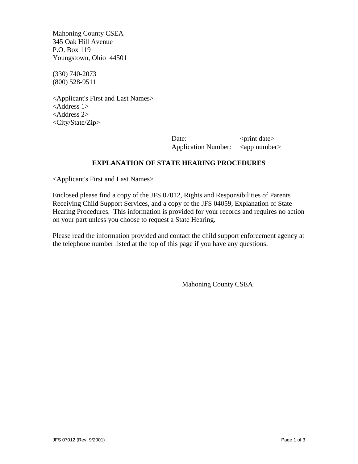Mahoning County CSEA 345 Oak Hill Avenue P.O. Box 119 Youngstown, Ohio 44501

(330) 740-2073 (800) 528-9511

<Applicant's First and Last Names> <Address 1> <Address 2> <City/State/Zip>

> Date:  $\langle$   $\rangle$   $\langle$   $\rangle$   $\langle$   $\rangle$   $\langle$   $\rangle$   $\langle$   $\rangle$   $\langle$   $\rangle$   $\langle$   $\rangle$   $\langle$   $\rangle$   $\langle$   $\rangle$   $\langle$   $\rangle$   $\langle$   $\rangle$   $\langle$   $\rangle$   $\langle$   $\rangle$   $\langle$   $\rangle$   $\langle$   $\rangle$   $\langle$   $\rangle$   $\langle$   $\rangle$   $\langle$   $\rangle$   $\langle$   $\rangle$   $\langle$   $\rangle$   $\langle$   $\rangle$   $\langle$  Application Number: <app number>

# **EXPLANATION OF STATE HEARING PROCEDURES**

<Applicant's First and Last Names>

Enclosed please find a copy of the JFS 07012, Rights and Responsibilities of Parents Receiving Child Support Services, and a copy of the JFS 04059, Explanation of State Hearing Procedures. This information is provided for your records and requires no action on your part unless you choose to request a State Hearing.

Please read the information provided and contact the child support enforcement agency at the telephone number listed at the top of this page if you have any questions.

Mahoning County CSEA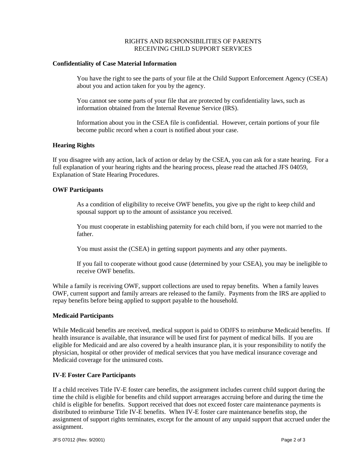## RIGHTS AND RESPONSIBILITIES OF PARENTS RECEIVING CHILD SUPPORT SERVICES

### **Confidentiality of Case Material Information**

You have the right to see the parts of your file at the Child Support Enforcement Agency (CSEA) about you and action taken for you by the agency.

You cannot see some parts of your file that are protected by confidentiality laws, such as information obtained from the Internal Revenue Service (IRS).

Information about you in the CSEA file is confidential. However, certain portions of your file become public record when a court is notified about your case.

## **Hearing Rights**

If you disagree with any action, lack of action or delay by the CSEA, you can ask for a state hearing. For a full explanation of your hearing rights and the hearing process, please read the attached JFS 04059, Explanation of State Hearing Procedures.

## **OWF Participants**

As a condition of eligibility to receive OWF benefits, you give up the right to keep child and spousal support up to the amount of assistance you received.

You must cooperate in establishing paternity for each child born, if you were not married to the father.

You must assist the (CSEA) in getting support payments and any other payments.

If you fail to cooperate without good cause (determined by your CSEA), you may be ineligible to receive OWF benefits.

While a family is receiving OWF, support collections are used to repay benefits. When a family leaves OWF, current support and family arrears are released to the family. Payments from the IRS are applied to repay benefits before being applied to support payable to the household.

#### **Medicaid Participants**

While Medicaid benefits are received, medical support is paid to ODJFS to reimburse Medicaid benefits. If health insurance is available, that insurance will be used first for payment of medical bills. If you are eligible for Medicaid and are also covered by a health insurance plan, it is your responsibility to notify the physician, hospital or other provider of medical services that you have medical insurance coverage and Medicaid coverage for the uninsured costs.

#### **IV-E Foster Care Participants**

If a child receives Title IV-E foster care benefits, the assignment includes current child support during the time the child is eligible for benefits and child support arrearages accruing before and during the time the child is eligible for benefits. Support received that does not exceed foster care maintenance payments is distributed to reimburse Title IV-E benefits. When IV-E foster care maintenance benefits stop, the assignment of support rights terminates, except for the amount of any unpaid support that accrued under the assignment.